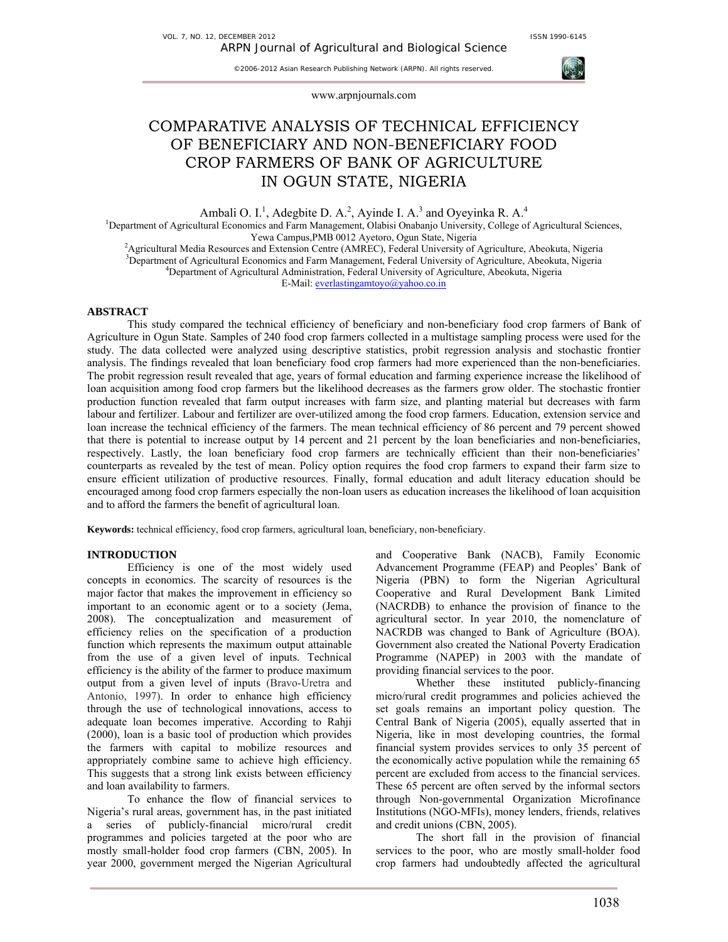

www.arpnjournals.com

# COMPARATIVE ANALYSIS OF TECHNICAL EFFICIENCY OF BENEFICIARY AND NON-BENEFICIARY FOOD CROP FARMERS OF BANK OF AGRICULTURE IN OGUN STATE, NIGERIA

Ambali O. I.<sup>1</sup>, Adegbite D. A.<sup>2</sup>, Ayinde I. A.<sup>3</sup> and Oyeyinka R. A.<sup>4</sup>

<sup>1</sup>Department of Agricultural Economics and Farm Management, Olabisi Onabanjo University, College of Agricultural Sciences, Yewa Campus,PMB 0012 Ayetoro, Ogun State, Nigeria<br><sup>2</sup>A gripultural Madia Basquegas and Extension Contra (AMBEC), Esdaml University of

<sup>2</sup>Agricultural Media Resources and Extension Centre (AMREC), Federal University of Agriculture, Abeokuta, Nigeria<br><sup>3</sup>Department of Agricultural Economics and Ferm Management, Ecderal University of Agriculture, Abeolute, N  ${}^{3}$ Department of Agricultural Economics and Farm Management, Federal University of Agriculture, Abeokuta, Nigeria

<sup>4</sup>Department of Agricultural Administration, Federal University of Agriculture, Abeokuta, Nigeria

E-Mail: everlastingamtoyo@yahoo.co.in

# **ABSTRACT**

This study compared the technical efficiency of beneficiary and non-beneficiary food crop farmers of Bank of Agriculture in Ogun State. Samples of 240 food crop farmers collected in a multistage sampling process were used for the study. The data collected were analyzed using descriptive statistics, probit regression analysis and stochastic frontier analysis. The findings revealed that loan beneficiary food crop farmers had more experienced than the non-beneficiaries. The probit regression result revealed that age, years of formal education and farming experience increase the likelihood of loan acquisition among food crop farmers but the likelihood decreases as the farmers grow older. The stochastic frontier production function revealed that farm output increases with farm size, and planting material but decreases with farm labour and fertilizer. Labour and fertilizer are over-utilized among the food crop farmers. Education, extension service and loan increase the technical efficiency of the farmers. The mean technical efficiency of 86 percent and 79 percent showed that there is potential to increase output by 14 percent and 21 percent by the loan beneficiaries and non-beneficiaries, respectively. Lastly, the loan beneficiary food crop farmers are technically efficient than their non-beneficiaries' counterparts as revealed by the test of mean. Policy option requires the food crop farmers to expand their farm size to ensure efficient utilization of productive resources. Finally, formal education and adult literacy education should be encouraged among food crop farmers especially the non-loan users as education increases the likelihood of loan acquisition and to afford the farmers the benefit of agricultural loan.

**Keywords:** technical efficiency, food crop farmers, agricultural loan, beneficiary, non-beneficiary.

#### **INTRODUCTION**

Efficiency is one of the most widely used concepts in economics. The scarcity of resources is the major factor that makes the improvement in efficiency so important to an economic agent or to a society (Jema, 2008). The conceptualization and measurement of efficiency relies on the specification of a production function which represents the maximum output attainable from the use of a given level of inputs. Technical efficiency is the ability of the farmer to produce maximum output from a given level of inputs (Bravo-Uretra and Antonio, 1997). In order to enhance high efficiency through the use of technological innovations, access to adequate loan becomes imperative. According to Rahji (2000), loan is a basic tool of production which provides the farmers with capital to mobilize resources and appropriately combine same to achieve high efficiency. This suggests that a strong link exists between efficiency and loan availability to farmers.

To enhance the flow of financial services to Nigeria's rural areas, government has, in the past initiated a series of publicly-financial micro/rural credit programmes and policies targeted at the poor who are mostly small-holder food crop farmers (CBN, 2005). In year 2000, government merged the Nigerian Agricultural and Cooperative Bank (NACB), Family Economic Advancement Programme (FEAP) and Peoples' Bank of Nigeria (PBN) to form the Nigerian Agricultural Cooperative and Rural Development Bank Limited (NACRDB) to enhance the provision of finance to the agricultural sector. In year 2010, the nomenclature of NACRDB was changed to Bank of Agriculture (BOA). Government also created the National Poverty Eradication Programme (NAPEP) in 2003 with the mandate of providing financial services to the poor.

Whether these instituted publicly-financing micro/rural credit programmes and policies achieved the set goals remains an important policy question. The Central Bank of Nigeria (2005), equally asserted that in Nigeria, like in most developing countries, the formal financial system provides services to only 35 percent of the economically active population while the remaining 65 percent are excluded from access to the financial services. These 65 percent are often served by the informal sectors through Non-governmental Organization Microfinance Institutions (NGO-MFIs), money lenders, friends, relatives and credit unions (CBN, 2005).

The short fall in the provision of financial services to the poor, who are mostly small-holder food crop farmers had undoubtedly affected the agricultural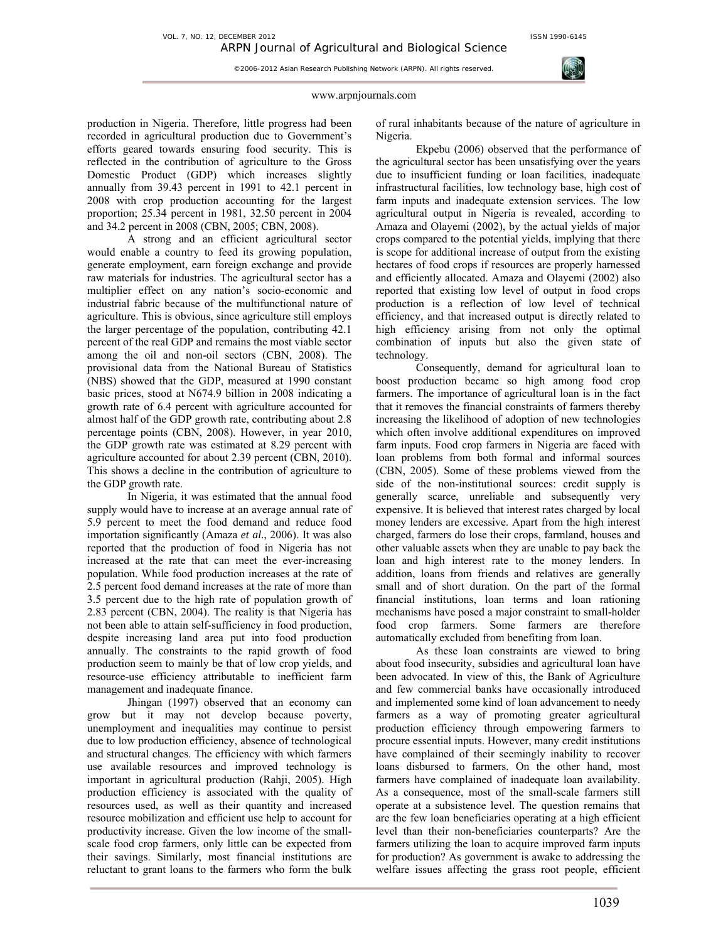#### www.arpnjournals.com

©2006-2012 Asian Research Publishing Network (ARPN). All rights reserved.

production in Nigeria. Therefore, little progress had been recorded in agricultural production due to Government's efforts geared towards ensuring food security. This is reflected in the contribution of agriculture to the Gross Domestic Product (GDP) which increases slightly annually from 39.43 percent in 1991 to 42.1 percent in 2008 with crop production accounting for the largest proportion; 25.34 percent in 1981, 32.50 percent in 2004 and 34.2 percent in 2008 (CBN, 2005; CBN, 2008).

A strong and an efficient agricultural sector would enable a country to feed its growing population, generate employment, earn foreign exchange and provide raw materials for industries. The agricultural sector has a multiplier effect on any nation's socio-economic and industrial fabric because of the multifunctional nature of agriculture. This is obvious, since agriculture still employs the larger percentage of the population, contributing 42.1 percent of the real GDP and remains the most viable sector among the oil and non-oil sectors (CBN, 2008). The provisional data from the National Bureau of Statistics (NBS) showed that the GDP, measured at 1990 constant basic prices, stood at N674.9 billion in 2008 indicating a growth rate of 6.4 percent with agriculture accounted for almost half of the GDP growth rate, contributing about 2.8 percentage points (CBN, 2008). However, in year 2010, the GDP growth rate was estimated at 8.29 percent with agriculture accounted for about 2.39 percent (CBN, 2010). This shows a decline in the contribution of agriculture to the GDP growth rate.

In Nigeria, it was estimated that the annual food supply would have to increase at an average annual rate of 5.9 percent to meet the food demand and reduce food importation significantly (Amaza *et al.*, 2006). It was also reported that the production of food in Nigeria has not increased at the rate that can meet the ever-increasing population. While food production increases at the rate of 2.5 percent food demand increases at the rate of more than 3.5 percent due to the high rate of population growth of 2.83 percent (CBN, 2004). The reality is that Nigeria has not been able to attain self-sufficiency in food production, despite increasing land area put into food production annually. The constraints to the rapid growth of food production seem to mainly be that of low crop yields, and resource-use efficiency attributable to inefficient farm management and inadequate finance.

Jhingan (1997) observed that an economy can grow but it may not develop because poverty, unemployment and inequalities may continue to persist due to low production efficiency, absence of technological and structural changes. The efficiency with which farmers use available resources and improved technology is important in agricultural production (Rahji, 2005). High production efficiency is associated with the quality of resources used, as well as their quantity and increased resource mobilization and efficient use help to account for productivity increase. Given the low income of the smallscale food crop farmers, only little can be expected from their savings. Similarly, most financial institutions are reluctant to grant loans to the farmers who form the bulk

of rural inhabitants because of the nature of agriculture in Nigeria.

Ekpebu (2006) observed that the performance of the agricultural sector has been unsatisfying over the years due to insufficient funding or loan facilities, inadequate infrastructural facilities, low technology base, high cost of farm inputs and inadequate extension services. The low agricultural output in Nigeria is revealed, according to Amaza and Olayemi (2002), by the actual yields of major crops compared to the potential yields, implying that there is scope for additional increase of output from the existing hectares of food crops if resources are properly harnessed and efficiently allocated. Amaza and Olayemi (2002) also reported that existing low level of output in food crops production is a reflection of low level of technical efficiency, and that increased output is directly related to high efficiency arising from not only the optimal combination of inputs but also the given state of technology.

Consequently, demand for agricultural loan to boost production became so high among food crop farmers. The importance of agricultural loan is in the fact that it removes the financial constraints of farmers thereby increasing the likelihood of adoption of new technologies which often involve additional expenditures on improved farm inputs. Food crop farmers in Nigeria are faced with loan problems from both formal and informal sources (CBN, 2005). Some of these problems viewed from the side of the non-institutional sources: credit supply is generally scarce, unreliable and subsequently very expensive. It is believed that interest rates charged by local money lenders are excessive. Apart from the high interest charged, farmers do lose their crops, farmland, houses and other valuable assets when they are unable to pay back the loan and high interest rate to the money lenders. In addition, loans from friends and relatives are generally small and of short duration. On the part of the formal financial institutions, loan terms and loan rationing mechanisms have posed a major constraint to small-holder food crop farmers. Some farmers are therefore automatically excluded from benefiting from loan.

As these loan constraints are viewed to bring about food insecurity, subsidies and agricultural loan have been advocated. In view of this, the Bank of Agriculture and few commercial banks have occasionally introduced and implemented some kind of loan advancement to needy farmers as a way of promoting greater agricultural production efficiency through empowering farmers to procure essential inputs. However, many credit institutions have complained of their seemingly inability to recover loans disbursed to farmers. On the other hand, most farmers have complained of inadequate loan availability. As a consequence, most of the small-scale farmers still operate at a subsistence level. The question remains that are the few loan beneficiaries operating at a high efficient level than their non-beneficiaries counterparts? Are the farmers utilizing the loan to acquire improved farm inputs for production? As government is awake to addressing the welfare issues affecting the grass root people, efficient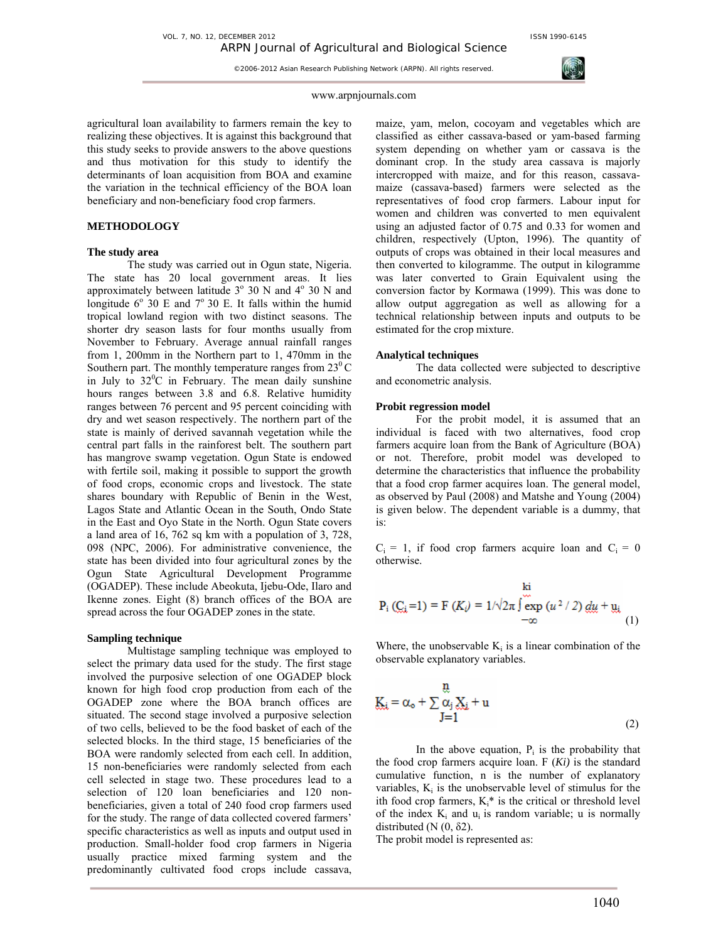

## www.arpnjournals.com

agricultural loan availability to farmers remain the key to realizing these objectives. It is against this background that this study seeks to provide answers to the above questions and thus motivation for this study to identify the determinants of loan acquisition from BOA and examine the variation in the technical efficiency of the BOA loan beneficiary and non-beneficiary food crop farmers.

# **METHODOLOGY**

#### **The study area**

The study was carried out in Ogun state, Nigeria. The state has 20 local government areas. It lies approximately between latitude  $3^{\circ}$  30 N and  $4^{\circ}$  30 N and longitude  $6^{\circ}$  30 E and  $7^{\circ}$  30 E. It falls within the humid tropical lowland region with two distinct seasons. The shorter dry season lasts for four months usually from November to February. Average annual rainfall ranges from 1, 200mm in the Northern part to 1, 470mm in the Southern part. The monthly temperature ranges from  $23^{\circ}$ C in July to  $32^{\circ}$ C in February. The mean daily sunshine hours ranges between 3.8 and 6.8. Relative humidity ranges between 76 percent and 95 percent coinciding with dry and wet season respectively. The northern part of the state is mainly of derived savannah vegetation while the central part falls in the rainforest belt. The southern part has mangrove swamp vegetation. Ogun State is endowed with fertile soil, making it possible to support the growth of food crops, economic crops and livestock. The state shares boundary with Republic of Benin in the West, Lagos State and Atlantic Ocean in the South, Ondo State in the East and Oyo State in the North. Ogun State covers a land area of 16, 762 sq km with a population of 3, 728, 098 (NPC, 2006). For administrative convenience, the state has been divided into four agricultural zones by the Ogun State Agricultural Development Programme (OGADEP). These include Abeokuta, Ijebu-Ode, Ilaro and Ikenne zones. Eight (8) branch offices of the BOA are spread across the four OGADEP zones in the state.

## **Sampling technique**

Multistage sampling technique was employed to select the primary data used for the study. The first stage involved the purposive selection of one OGADEP block known for high food crop production from each of the OGADEP zone where the BOA branch offices are situated. The second stage involved a purposive selection of two cells, believed to be the food basket of each of the selected blocks. In the third stage, 15 beneficiaries of the BOA were randomly selected from each cell. In addition, 15 non-beneficiaries were randomly selected from each cell selected in stage two. These procedures lead to a selection of 120 loan beneficiaries and 120 nonbeneficiaries, given a total of 240 food crop farmers used for the study. The range of data collected covered farmers' specific characteristics as well as inputs and output used in production. Small-holder food crop farmers in Nigeria usually practice mixed farming system and the predominantly cultivated food crops include cassava,

maize, yam, melon, cocoyam and vegetables which are classified as either cassava-based or yam-based farming system depending on whether yam or cassava is the dominant crop. In the study area cassava is majorly intercropped with maize, and for this reason, cassavamaize (cassava-based) farmers were selected as the representatives of food crop farmers. Labour input for women and children was converted to men equivalent using an adjusted factor of 0.75 and 0.33 for women and children, respectively (Upton, 1996). The quantity of outputs of crops was obtained in their local measures and then converted to kilogramme. The output in kilogramme was later converted to Grain Equivalent using the conversion factor by Kormawa (1999). This was done to allow output aggregation as well as allowing for a technical relationship between inputs and outputs to be estimated for the crop mixture.

# **Analytical techniques**

The data collected were subjected to descriptive and econometric analysis.

## **Probit regression model**

For the probit model, it is assumed that an individual is faced with two alternatives, food crop farmers acquire loan from the Bank of Agriculture (BOA) or not. Therefore, probit model was developed to determine the characteristics that influence the probability that a food crop farmer acquires loan. The general model, as observed by Paul (2008) and Matshe and Young (2004) is given below. The dependent variable is a dummy, that is:

 $C_i = 1$ , if food crop farmers acquire loan and  $C_i = 0$ otherwise.

$$
P_i (C_i = 1) = F (K_i) = 1/\sqrt{2\pi} \int_{-\infty}^{k_i} \exp(u^2 / 2) \, du + y_i
$$
 (1)

Where, the unobservable  $K_i$  is a linear combination of the observable explanatory variables.

$$
\underline{K}_{\dot{x}} = \alpha_{o} + \sum_{J=1}^{n} \frac{\alpha_{j}}{\alpha_{j}} \underline{X}_{\dot{x}} + u
$$
\n(2)

In the above equation,  $P_i$  is the probability that the food crop farmers acquire loan.  $F(Ki)$  is the standard cumulative function, n is the number of explanatory variables,  $K_i$  is the unobservable level of stimulus for the ith food crop farmers,  $K_i^*$  is the critical or threshold level of the index  $K_i$  and  $u_i$  is random variable; u is normally distributed  $(N (0, \delta 2))$ .

The probit model is represented as: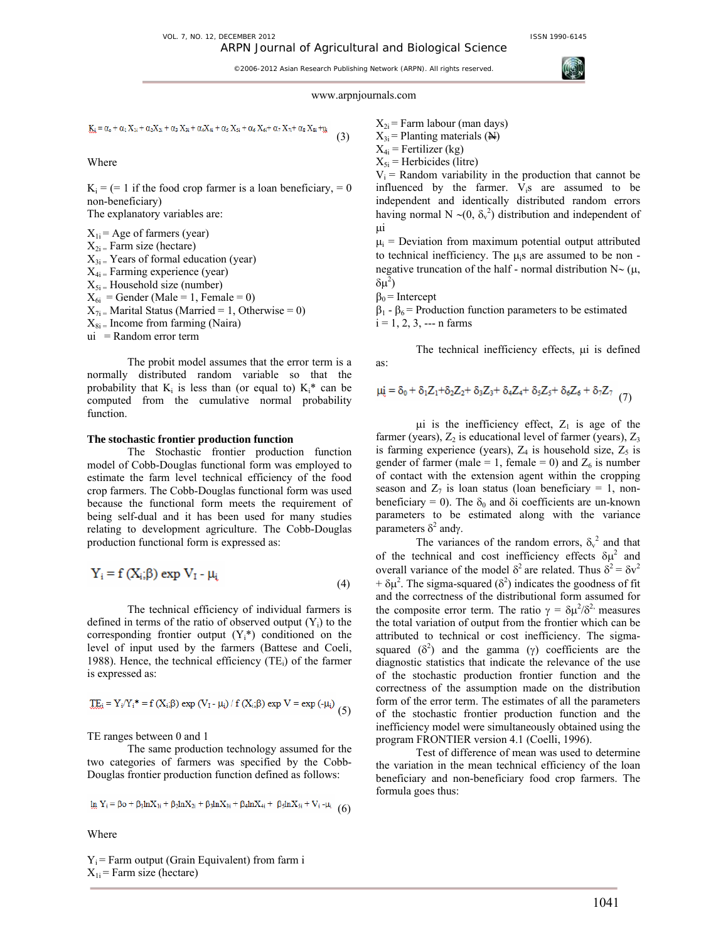

# www.arpnjournals.com

(3)

 $\underline{K}_{i} = \alpha_{o} + \alpha_{1}\,X_{1i} + \alpha_{2}X_{2i} + \alpha_{3}\,X_{3i} + \alpha_{4}X_{4i} + \alpha_{5}\,X_{5i} + \alpha_{6}\,X_{6i} + \alpha_{7}\,X_{7i} + \alpha_{8}\,X_{8i} + \underbar{u}_{3i}$ 

Where

 $K_i = (= 1$  if the food crop farmer is a loan beneficiary, = 0 non-beneficiary)

The explanatory variables are:

 $X_{1i}$  = Age of farmers (year)  $X_{2i}$  = Farm size (hectare)  $X_{3i}$  = Years of formal education (year)  $X_{4i}$  = Farming experience (year)  $X_{5i}$  = Household size (number)  $X_{6i}$  = Gender (Male = 1, Female = 0)  $X_{7i}$  = Marital Status (Married = 1, Otherwise = 0)  $X_{8i}$  = Income from farming (Naira) ui = Random error term

The probit model assumes that the error term is a normally distributed random variable so that the probability that  $K_i$  is less than (or equal to)  $K_i^*$  can be computed from the cumulative normal probability function.

### **The stochastic frontier production function**

The Stochastic frontier production function model of Cobb-Douglas functional form was employed to estimate the farm level technical efficiency of the food crop farmers. The Cobb-Douglas functional form was used because the functional form meets the requirement of being self-dual and it has been used for many studies relating to development agriculture. The Cobb-Douglas production functional form is expressed as:

$$
Y_i = f(X_i; \beta) \exp V_1 - \mu_i
$$
\n(4)

The technical efficiency of individual farmers is defined in terms of the ratio of observed output  $(Y_i)$  to the corresponding frontier output  $(Y_i^*)$  conditioned on the level of input used by the farmers (Battese and Coeli, 1988). Hence, the technical efficiency  $(TE_i)$  of the farmer is expressed as:

$$
\underline{\text{TE}}_i = Y_i/Y_i^* = f(X_i;\beta) \exp(V_1 - \mu_i) / f(X_i;\beta) \exp V = \exp(-\mu_i)
$$
(5)

TE ranges between 0 and 1

The same production technology assumed for the two categories of farmers was specified by the Cobb-Douglas frontier production function defined as follows:

$$
\underline{\ln} Y_i = \beta o + \beta_1 \ln X_{1i} + \beta_2 \ln X_{2i} + \beta_3 \ln X_{3i} + \beta_4 \ln X_{4i} + \beta_5 \ln X_{5i} + V_i - \mu_i
$$
(6)

Where

 $Y_i$  = Farm output (Grain Equivalent) from farm i  $X_{1i}$  = Farm size (hectare)

 $X_{2i}$  = Farm labour (man days)

 $X_{3i}$  = Planting materials ( $\overline{N}$ )

 $X_{4i}$  = Fertilizer (kg)  $X_{5i}$  = Herbicides (litre)

 $V_i$  = Random variability in the production that cannot be influenced by the farmer.  $V_i$ s are assumed to be independent and identically distributed random errors having normal N ~ $(0, \delta_v^2)$  distribution and independent of µi

 $\mu_i$  = Deviation from maximum potential output attributed to technical inefficiency. The  $\mu$ <sub>i</sub>s are assumed to be non negative truncation of the half - normal distribution N∼ (µ,  $δμ<sup>2</sup>$ )

$$
\beta_0 = \text{Intercept}
$$

 $β<sub>1</sub> - β<sub>6</sub>$  = Production function parameters to be estimated  $i = 1, 2, 3, \dots$  n farms

The technical inefficiency effects,  $\mu$ i is defined as:

$$
\mu \dot{\xi} = \delta_0 + \delta_1 Z_1 + \delta_2 Z_2 + \delta_3 Z_3 + \delta_4 Z_4 + \delta_5 Z_5 + \delta_6 Z_6 + \delta_7 Z_7 \tag{7}
$$

 $\mu$ i is the inefficiency effect,  $Z_1$  is age of the farmer (years),  $Z_2$  is educational level of farmer (years),  $Z_3$ is farming experience (years),  $Z_4$  is household size,  $Z_5$  is gender of farmer (male = 1, female = 0) and  $Z_6$  is number of contact with the extension agent within the cropping season and  $Z_7$  is loan status (loan beneficiary = 1, nonbeneficiary = 0). The  $\delta_0$  and  $\delta$ i coefficients are un-known parameters to be estimated along with the variance parameters  $\delta^2$  andγ.

The variances of the random errors,  $\delta_{v}^{2}$  and that of the technical and cost inefficiency effects  $\delta \mu^2$  and overall variance of the model  $\delta^2$  are related. Thus  $\delta^2 = \delta v^2$  $+ \delta \mu^2$ . The sigma-squared ( $\delta^2$ ) indicates the goodness of fit and the correctness of the distributional form assumed for the composite error term. The ratio  $\gamma = \delta \mu^2 / \delta^2$  measures the total variation of output from the frontier which can be attributed to technical or cost inefficiency. The sigmasquared  $(\delta^2)$  and the gamma (γ) coefficients are the diagnostic statistics that indicate the relevance of the use of the stochastic production frontier function and the correctness of the assumption made on the distribution form of the error term. The estimates of all the parameters of the stochastic frontier production function and the inefficiency model were simultaneously obtained using the program FRONTIER version 4.1 (Coelli, 1996).

Test of difference of mean was used to determine the variation in the mean technical efficiency of the loan beneficiary and non-beneficiary food crop farmers. The formula goes thus: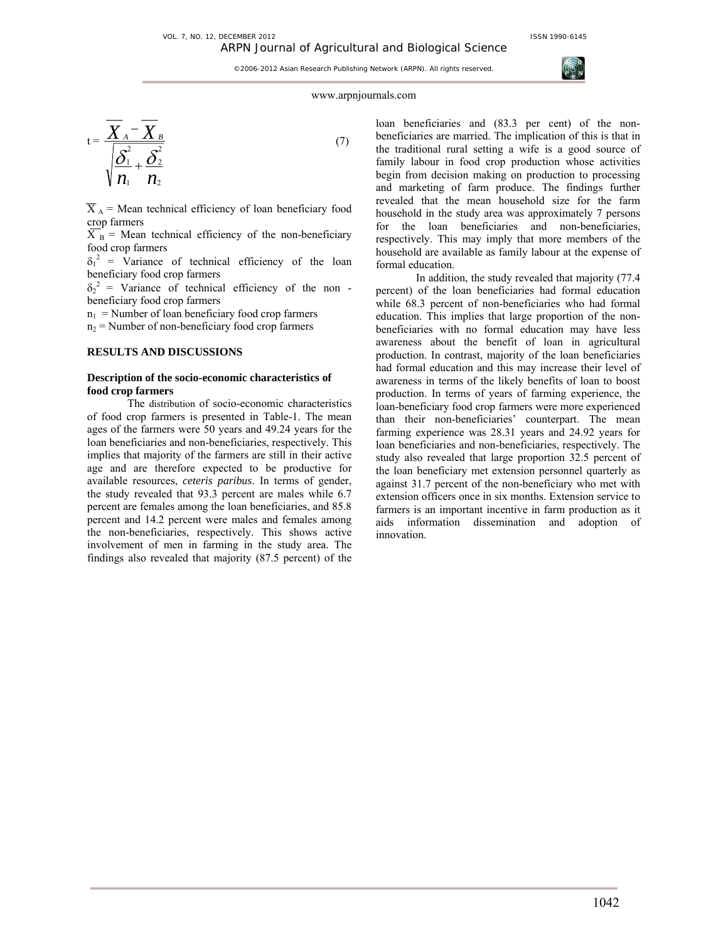

## www.arpnjournals.com

$$
t = \frac{\overline{X}_A - \overline{X}_B}{\sqrt{\frac{\overline{\delta}_1^2}{n_1} + \frac{\overline{\delta}_2^2}{n_2}}}
$$
(7)

 $\overline{X}_A$  = Mean technical efficiency of loan beneficiary food crop farmers

 $\overrightarrow{X}_B$  = Mean technical efficiency of the non-beneficiary food crop farmers

 $\delta_1^2$  = Variance of technical efficiency of the loan beneficiary food crop farmers

 $\delta_2^2$  = Variance of technical efficiency of the nonbeneficiary food crop farmers

 $n_1$  = Number of loan beneficiary food crop farmers

 $n_2$  = Number of non-beneficiary food crop farmers

# **RESULTS AND DISCUSSIONS**

## **Description of the socio-economic characteristics of food crop farmers**

The distribution of socio-economic characteristics of food crop farmers is presented in Table-1. The mean ages of the farmers were 50 years and 49.24 years for the loan beneficiaries and non-beneficiaries, respectively. This implies that majority of the farmers are still in their active age and are therefore expected to be productive for available resources, *ceteris paribus*. In terms of gender, the study revealed that 93.3 percent are males while 6.7 percent are females among the loan beneficiaries, and 85.8 percent and 14.2 percent were males and females among the non-beneficiaries, respectively. This shows active involvement of men in farming in the study area. The findings also revealed that majority (87.5 percent) of the loan beneficiaries and (83.3 per cent) of the nonbeneficiaries are married. The implication of this is that in the traditional rural setting a wife is a good source of family labour in food crop production whose activities begin from decision making on production to processing and marketing of farm produce. The findings further revealed that the mean household size for the farm household in the study area was approximately 7 persons for the loan beneficiaries and non-beneficiaries, respectively. This may imply that more members of the household are available as family labour at the expense of formal education.

In addition, the study revealed that majority (77.4 percent) of the loan beneficiaries had formal education while 68.3 percent of non-beneficiaries who had formal education. This implies that large proportion of the nonbeneficiaries with no formal education may have less awareness about the benefit of loan in agricultural production. In contrast, majority of the loan beneficiaries had formal education and this may increase their level of awareness in terms of the likely benefits of loan to boost production. In terms of years of farming experience, the loan-beneficiary food crop farmers were more experienced than their non-beneficiaries' counterpart. The mean farming experience was 28.31 years and 24.92 years for loan beneficiaries and non-beneficiaries, respectively. The study also revealed that large proportion 32.5 percent of the loan beneficiary met extension personnel quarterly as against 31.7 percent of the non-beneficiary who met with extension officers once in six months. Extension service to farmers is an important incentive in farm production as it aids information dissemination and adoption of innovation.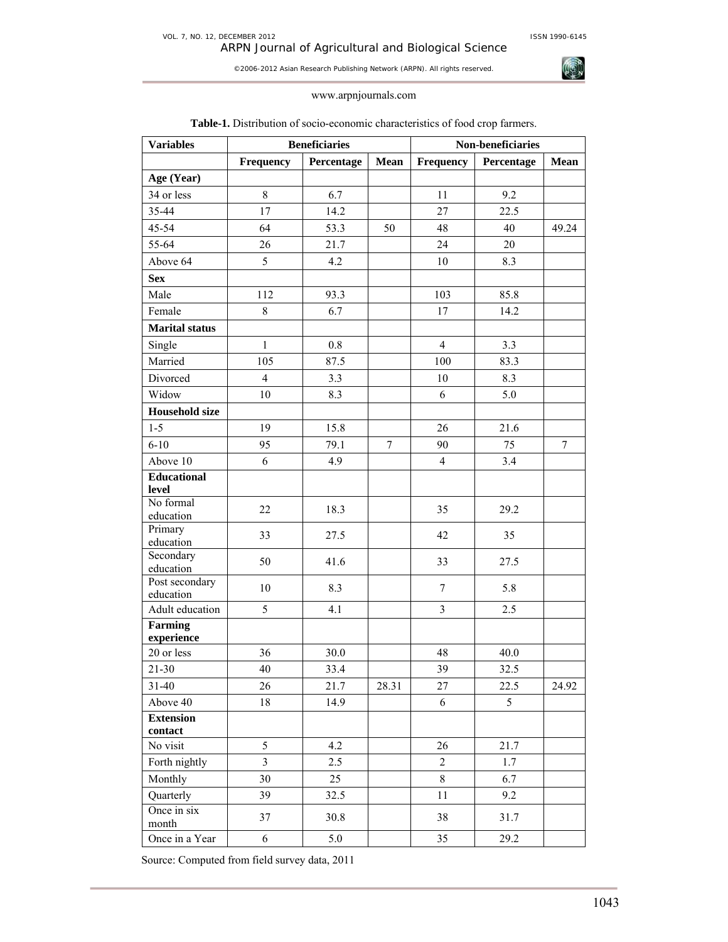ARPN Journal of Agricultural and Biological Science

©2006-2012 Asian Research Publishing Network (ARPN). All rights reserved.



# www.arpnjournals.com

| <b>Variables</b>            | <b>Beneficiaries</b>    |            |                  | Non-beneficiaries |            |             |  |
|-----------------------------|-------------------------|------------|------------------|-------------------|------------|-------------|--|
|                             | Frequency               | Percentage | Mean             | Frequency         | Percentage | <b>Mean</b> |  |
| Age (Year)                  |                         |            |                  |                   |            |             |  |
| 34 or less                  | 8                       | 6.7        |                  | 11                | 9.2        |             |  |
| 35-44                       | 17                      | 14.2       |                  | 27                | 22.5       |             |  |
| 45-54                       | 64                      | 53.3       | 50               | 48                | 40         | 49.24       |  |
| 55-64                       | 26                      | 21.7       |                  | 24                | 20         |             |  |
| Above 64                    | 5                       | 4.2        |                  | 10                | 8.3        |             |  |
| <b>Sex</b>                  |                         |            |                  |                   |            |             |  |
| Male                        | 112                     | 93.3       |                  | 103               | 85.8       |             |  |
| Female                      | $\,$ 8 $\,$             | 6.7        |                  | 17                | 14.2       |             |  |
| <b>Marital status</b>       |                         |            |                  |                   |            |             |  |
| Single                      | $\mathbf{1}$            | 0.8        |                  | $\overline{4}$    | 3.3        |             |  |
| Married                     | 105                     | 87.5       |                  | 100               | 83.3       |             |  |
| Divorced                    | $\overline{4}$          | 3.3        |                  | 10                | 8.3        |             |  |
| Widow                       | 10                      | 8.3        |                  | 6                 | 5.0        |             |  |
| <b>Household size</b>       |                         |            |                  |                   |            |             |  |
| $1 - 5$                     | 19                      | 15.8       |                  | 26                | 21.6       |             |  |
| $6 - 10$                    | 95                      | 79.1       | $\boldsymbol{7}$ | 90                | 75         | $\tau$      |  |
| Above 10                    | 6                       | 4.9        |                  | $\overline{4}$    | 3.4        |             |  |
| <b>Educational</b>          |                         |            |                  |                   |            |             |  |
| level                       |                         |            |                  |                   |            |             |  |
| No formal<br>education      | 22                      | 18.3       |                  | 35                | 29.2       |             |  |
| Primary<br>education        | 33                      | 27.5       |                  | 42                | 35         |             |  |
| Secondary<br>education      | 50                      | 41.6       |                  | 33                | 27.5       |             |  |
| Post secondary<br>education | 10                      | 8.3        |                  | $\tau$            | 5.8        |             |  |
| Adult education             | 5                       | 4.1        |                  | $\overline{3}$    | 2.5        |             |  |
| Farming<br>experience       |                         |            |                  |                   |            |             |  |
| 20 or less                  | 36                      | 30.0       |                  | 48                | 40.0       |             |  |
| $21 - 30$                   | $40\,$                  | 33.4       |                  | 39                | 32.5       |             |  |
| $31 - 40$                   | 26                      | 21.7       | 28.31            | 27                | 22.5       | 24.92       |  |
| Above 40                    | 18                      | 14.9       |                  | 6                 | 5          |             |  |
| <b>Extension</b><br>contact |                         |            |                  |                   |            |             |  |
| No visit                    | 5                       | 4.2        |                  | 26                | 21.7       |             |  |
| Forth nightly               | $\overline{\mathbf{3}}$ | 2.5        |                  | $\sqrt{2}$        | 1.7        |             |  |
| Monthly                     | 30                      | 25         |                  | 8                 | 6.7        |             |  |
| Quarterly                   | 39                      | 32.5       |                  | 11                | 9.2        |             |  |
| Once in six<br>month        | 37                      | 30.8       |                  | 38                | 31.7       |             |  |
| Once in a Year              | 6                       | 5.0        |                  | 35                | 29.2       |             |  |

# **Table-1.** Distribution of socio-economic characteristics of food crop farmers.

Source: Computed from field survey data, 2011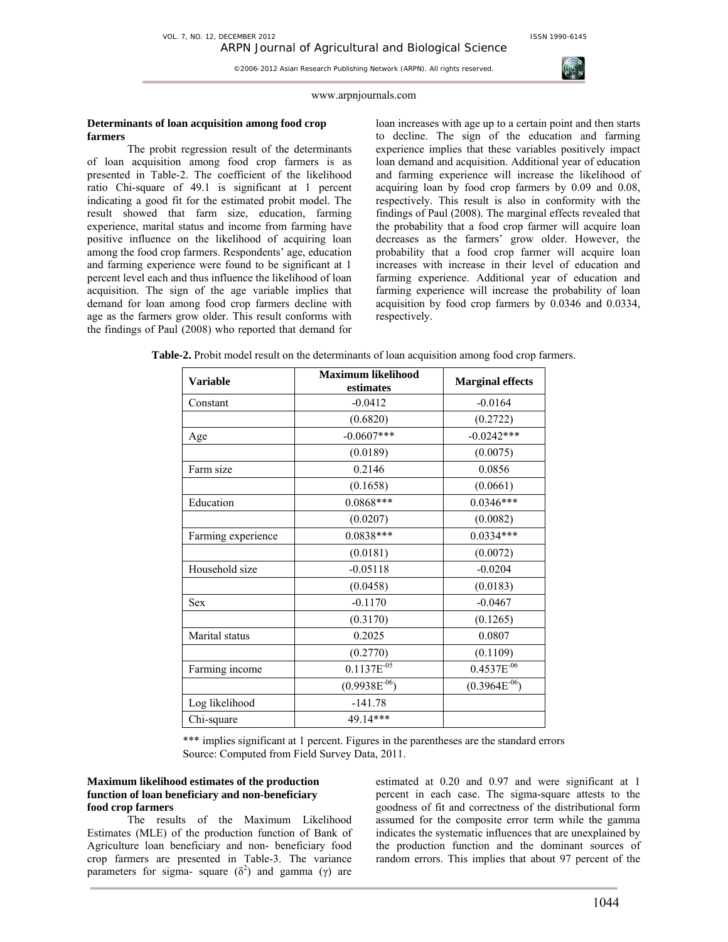

## www.arpnjournals.com

# **Determinants of loan acquisition among food crop farmers**

The probit regression result of the determinants of loan acquisition among food crop farmers is as presented in Table-2. The coefficient of the likelihood ratio Chi-square of 49.1 is significant at 1 percent indicating a good fit for the estimated probit model. The result showed that farm size, education, farming experience, marital status and income from farming have positive influence on the likelihood of acquiring loan among the food crop farmers. Respondents' age, education and farming experience were found to be significant at 1 percent level each and thus influence the likelihood of loan acquisition. The sign of the age variable implies that demand for loan among food crop farmers decline with age as the farmers grow older. This result conforms with the findings of Paul (2008) who reported that demand for

loan increases with age up to a certain point and then starts to decline. The sign of the education and farming experience implies that these variables positively impact loan demand and acquisition. Additional year of education and farming experience will increase the likelihood of acquiring loan by food crop farmers by 0.09 and 0.08, respectively. This result is also in conformity with the findings of Paul (2008). The marginal effects revealed that the probability that a food crop farmer will acquire loan decreases as the farmers' grow older. However, the probability that a food crop farmer will acquire loan increases with increase in their level of education and farming experience. Additional year of education and farming experience will increase the probability of loan acquisition by food crop farmers by 0.0346 and 0.0334, respectively.

| <b>Variable</b>    | <b>Maximum likelihood</b><br>estimates | <b>Marginal effects</b> |  |
|--------------------|----------------------------------------|-------------------------|--|
| Constant           | $-0.0412$                              | $-0.0164$               |  |
|                    | (0.6820)                               | (0.2722)                |  |
| Age                | $-0.0607$ ***                          | $-0.0242***$            |  |
|                    | (0.0189)                               | (0.0075)                |  |
| Farm size          | 0.2146                                 | 0.0856                  |  |
|                    | (0.1658)                               | (0.0661)                |  |
| Education          | 0.0868***                              | $0.0346***$             |  |
|                    | (0.0207)                               | (0.0082)                |  |
| Farming experience | $0.0838***$                            | $0.0334***$             |  |
|                    | (0.0181)                               | (0.0072)                |  |
| Household size     | $-0.05118$                             | $-0.0204$               |  |
|                    | (0.0458)                               | (0.0183)                |  |
| <b>Sex</b>         | $-0.1170$                              | $-0.0467$               |  |
|                    | (0.3170)                               | (0.1265)                |  |
| Marital status     | 0.2025                                 | 0.0807                  |  |
|                    | (0.2770)                               | (0.1109)                |  |
| Farming income     | $0.1137E^{-0.5}$                       | $0.4537E^{-06}$         |  |
|                    | $(0.9938E^{-06})$                      | $(0.3964E^{-06})$       |  |
| Log likelihood     | $-141.78$                              |                         |  |
| Chi-square         | 49.14***                               |                         |  |

**Table-2.** Probit model result on the determinants of loan acquisition among food crop farmers.

\*\*\* implies significant at 1 percent. Figures in the parentheses are the standard errors Source: Computed from Field Survey Data, 2011.

## **Maximum likelihood estimates of the production function of loan beneficiary and non-beneficiary food crop farmers**

The results of the Maximum Likelihood Estimates (MLE) of the production function of Bank of Agriculture loan beneficiary and non- beneficiary food crop farmers are presented in Table-3. The variance parameters for sigma- square  $(\delta^2)$  and gamma (γ) are estimated at 0.20 and 0.97 and were significant at 1 percent in each case. The sigma-square attests to the goodness of fit and correctness of the distributional form assumed for the composite error term while the gamma indicates the systematic influences that are unexplained by the production function and the dominant sources of random errors. This implies that about 97 percent of the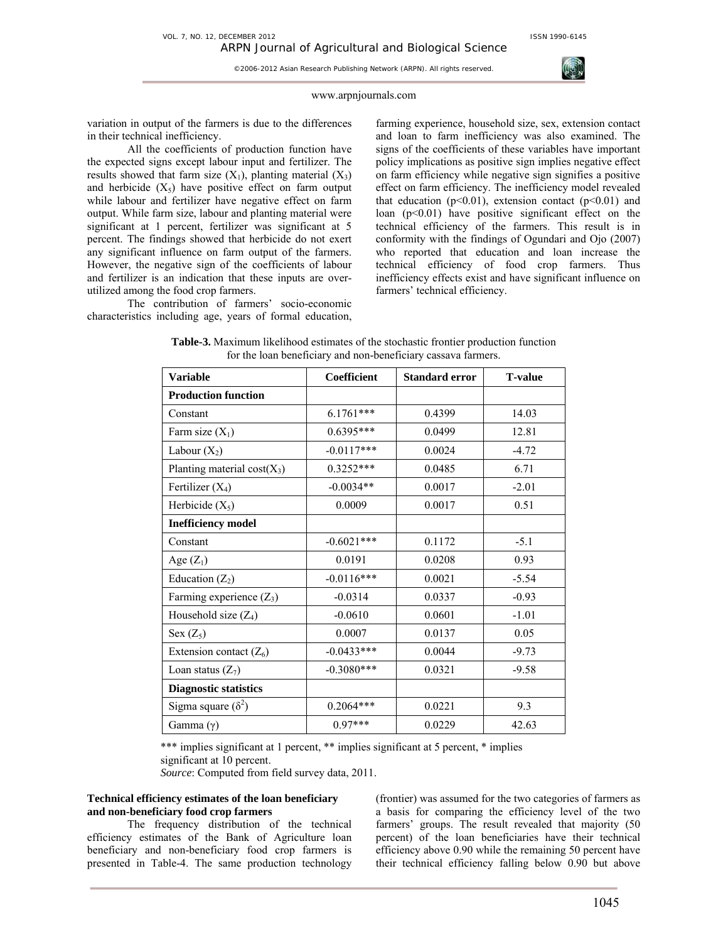#### www.arpnjournals.com

©2006-2012 Asian Research Publishing Network (ARPN). All rights reserved.

variation in output of the farmers is due to the differences in their technical inefficiency.

All the coefficients of production function have the expected signs except labour input and fertilizer. The results showed that farm size  $(X_1)$ , planting material  $(X_3)$ and herbicide  $(X_5)$  have positive effect on farm output while labour and fertilizer have negative effect on farm output. While farm size, labour and planting material were significant at 1 percent, fertilizer was significant at 5 percent. The findings showed that herbicide do not exert any significant influence on farm output of the farmers. However, the negative sign of the coefficients of labour and fertilizer is an indication that these inputs are overutilized among the food crop farmers.

The contribution of farmers' socio-economic characteristics including age, years of formal education, farming experience, household size, sex, extension contact and loan to farm inefficiency was also examined. The signs of the coefficients of these variables have important policy implications as positive sign implies negative effect on farm efficiency while negative sign signifies a positive effect on farm efficiency. The inefficiency model revealed that education ( $p<0.01$ ), extension contact ( $p<0.01$ ) and loan  $(p<0.01)$  have positive significant effect on the technical efficiency of the farmers. This result is in conformity with the findings of Ogundari and Ojo (2007) who reported that education and loan increase the technical efficiency of food crop farmers. Thus inefficiency effects exist and have significant influence on farmers' technical efficiency.

| <b>Variable</b>               | Coefficient  | <b>Standard error</b> | <b>T-value</b> |
|-------------------------------|--------------|-----------------------|----------------|
| <b>Production function</b>    |              |                       |                |
| Constant                      | $6.1761***$  | 0.4399                | 14.03          |
| Farm size $(X_1)$             | $0.6395***$  | 0.0499                | 12.81          |
| Labour $(X_2)$                | $-0.0117***$ | 0.0024                | $-4.72$        |
| Planting material $cost(X_3)$ | $0.3252***$  | 0.0485                | 6.71           |
| Fertilizer $(X_4)$            | $-0.0034**$  | 0.0017                | $-2.01$        |
| Herbicide $(X_5)$             | 0.0009       | 0.0017                | 0.51           |
| <b>Inefficiency model</b>     |              |                       |                |
| Constant                      | $-0.6021***$ | 0.1172                | $-5.1$         |
| Age $(Z_1)$                   | 0.0191       | 0.0208                | 0.93           |
| Education $(Z_2)$             | $-0.0116***$ | 0.0021                | $-5.54$        |
| Farming experience $(Z_3)$    | $-0.0314$    | 0.0337                | $-0.93$        |
| Household size $(Z_4)$        | $-0.0610$    | 0.0601                | $-1.01$        |
| Sex $(Z_5)$                   | 0.0007       | 0.0137                | 0.05           |
| Extension contact $(Z_6)$     | $-0.0433***$ | 0.0044                | $-9.73$        |
| Loan status $(Z_7)$           | $-0.3080***$ | 0.0321                | $-9.58$        |
| <b>Diagnostic statistics</b>  |              |                       |                |
| Sigma square $(\delta^2)$     | $0.2064***$  | 0.0221                | 9.3            |
| Gamma $(\gamma)$              | $0.97***$    | 0.0229                | 42.63          |

**Table-3.** Maximum likelihood estimates of the stochastic frontier production function for the loan beneficiary and non-beneficiary cassava farmers.

\*\*\* implies significant at 1 percent, \*\* implies significant at 5 percent, \* implies significant at 10 percent.

*Source*: Computed from field survey data, 2011.

# **Technical efficiency estimates of the loan beneficiary and non-beneficiary food crop farmers**

The frequency distribution of the technical efficiency estimates of the Bank of Agriculture loan beneficiary and non-beneficiary food crop farmers is presented in Table-4. The same production technology (frontier) was assumed for the two categories of farmers as a basis for comparing the efficiency level of the two farmers' groups. The result revealed that majority (50 percent) of the loan beneficiaries have their technical efficiency above 0.90 while the remaining 50 percent have their technical efficiency falling below 0.90 but above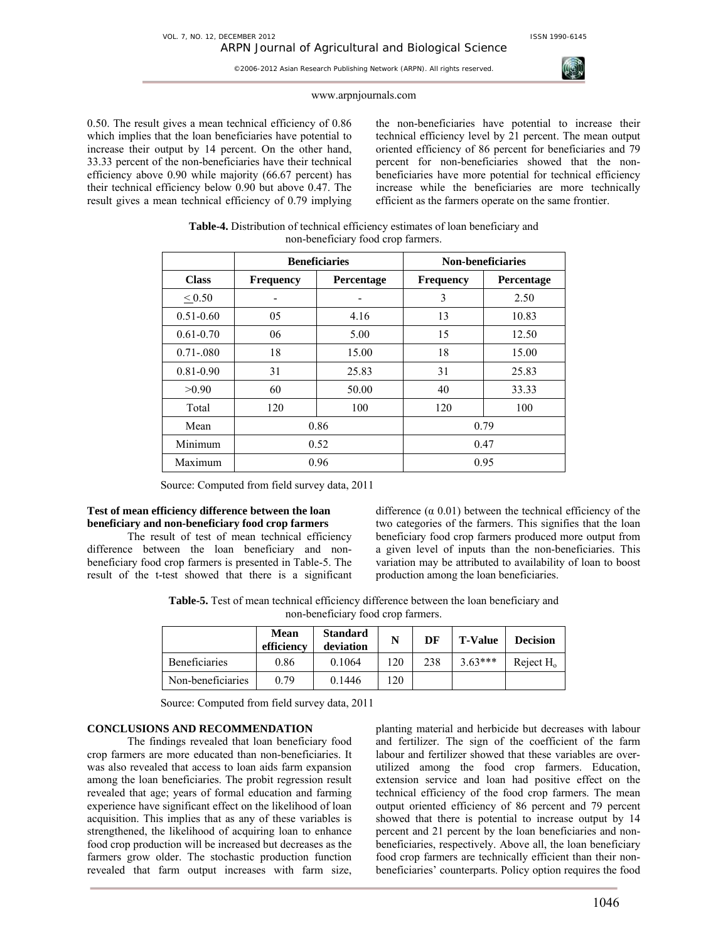

## www.arpnjournals.com

0.50. The result gives a mean technical efficiency of 0.86 which implies that the loan beneficiaries have potential to increase their output by 14 percent. On the other hand, 33.33 percent of the non-beneficiaries have their technical efficiency above 0.90 while majority (66.67 percent) has their technical efficiency below 0.90 but above 0.47. The result gives a mean technical efficiency of 0.79 implying the non-beneficiaries have potential to increase their technical efficiency level by 21 percent. The mean output oriented efficiency of 86 percent for beneficiaries and 79 percent for non-beneficiaries showed that the nonbeneficiaries have more potential for technical efficiency increase while the beneficiaries are more technically efficient as the farmers operate on the same frontier.

| Table-4. Distribution of technical efficiency estimates of loan beneficiary and |
|---------------------------------------------------------------------------------|
| non-beneficiary food crop farmers.                                              |

|                  | <b>Beneficiaries</b> |                   | Non-beneficiaries |            |  |
|------------------|----------------------|-------------------|-------------------|------------|--|
| <b>Class</b>     | <b>Frequency</b>     | <b>Percentage</b> | <b>Frequency</b>  | Percentage |  |
| ${}_{\leq 0.50}$ |                      |                   | 3                 | 2.50       |  |
| $0.51 - 0.60$    | 05                   | 4.16              | 13                | 10.83      |  |
| $0.61 - 0.70$    | 06                   | 5.00              | 15                | 12.50      |  |
| $0.71 - 0.080$   | 18                   | 15.00             | 18                | 15.00      |  |
| $0.81 - 0.90$    | 31                   | 25.83             | 31                | 25.83      |  |
| >0.90            | 60                   | 50.00             | 40                | 33.33      |  |
| Total            | 120                  | 100               | 120               | 100        |  |
| Mean             | 0.86                 |                   | 0.79              |            |  |
| Minimum          | 0.52                 |                   | 0.47              |            |  |
| Maximum          | 0.96                 |                   | 0.95              |            |  |

Source: Computed from field survey data, 2011

## **Test of mean efficiency difference between the loan beneficiary and non-beneficiary food crop farmers**

The result of test of mean technical efficiency difference between the loan beneficiary and nonbeneficiary food crop farmers is presented in Table-5. The result of the t-test showed that there is a significant difference  $(\alpha 0.01)$  between the technical efficiency of the two categories of the farmers. This signifies that the loan beneficiary food crop farmers produced more output from a given level of inputs than the non-beneficiaries. This variation may be attributed to availability of loan to boost production among the loan beneficiaries.

**Table-5.** Test of mean technical efficiency difference between the loan beneficiary and non-beneficiary food crop farmers.

|                   | Mean<br>efficiency | <b>Standard</b><br>deviation |     | DF  | <b>T-Value</b> | <b>Decision</b> |
|-------------------|--------------------|------------------------------|-----|-----|----------------|-----------------|
| Beneficiaries     | 0.86               | 0.1064                       | 120 | 238 | $3.63***$      | Reject $H_0$    |
| Non-beneficiaries | 0.79               | 0.1446                       | 120 |     |                |                 |

Source: Computed from field survey data, 2011

# **CONCLUSIONS AND RECOMMENDATION**

The findings revealed that loan beneficiary food crop farmers are more educated than non-beneficiaries. It was also revealed that access to loan aids farm expansion among the loan beneficiaries. The probit regression result revealed that age; years of formal education and farming experience have significant effect on the likelihood of loan acquisition. This implies that as any of these variables is strengthened, the likelihood of acquiring loan to enhance food crop production will be increased but decreases as the farmers grow older. The stochastic production function revealed that farm output increases with farm size, planting material and herbicide but decreases with labour and fertilizer. The sign of the coefficient of the farm labour and fertilizer showed that these variables are overutilized among the food crop farmers. Education, extension service and loan had positive effect on the technical efficiency of the food crop farmers. The mean output oriented efficiency of 86 percent and 79 percent showed that there is potential to increase output by 14 percent and 21 percent by the loan beneficiaries and nonbeneficiaries, respectively. Above all, the loan beneficiary food crop farmers are technically efficient than their nonbeneficiaries' counterparts. Policy option requires the food